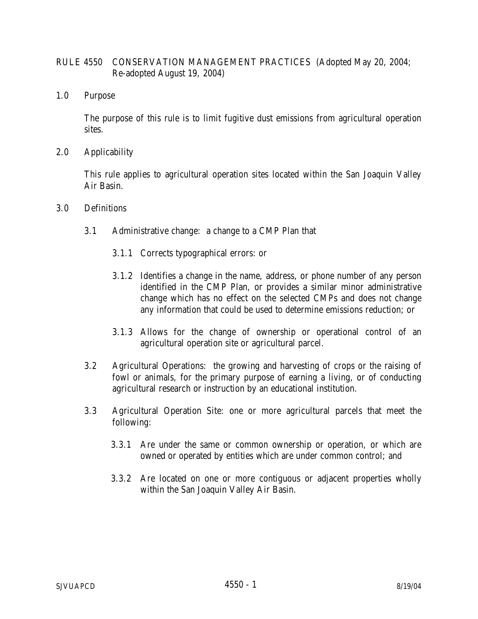## RULE 4550 CONSERVATION MANAGEMENT PRACTICES (Adopted May 20, 2004; Re-adopted August 19, 2004)

1.0 Purpose

The purpose of this rule is to limit fugitive dust emissions from agricultural operation sites.

2.0 Applicability

This rule applies to agricultural operation sites located within the San Joaquin Valley Air Basin.

- 3.0 Definitions
	- 3.1 Administrative change: a change to a CMP Plan that
		- 3.1.1 Corrects typographical errors: or
		- 3.1.2 Identifies a change in the name, address, or phone number of any person identified in the CMP Plan, or provides a similar minor administrative change which has no effect on the selected CMPs and does not change any information that could be used to determine emissions reduction; or
		- 3.1.3 Allows for the change of ownership or operational control of an agricultural operation site or agricultural parcel.
	- 3.2 Agricultural Operations: the growing and harvesting of crops or the raising of fowl or animals, for the primary purpose of earning a living, or of conducting agricultural research or instruction by an educational institution.
	- 3.3 Agricultural Operation Site: one or more agricultural parcels that meet the following:
		- 3.3.1 Are under the same or common ownership or operation, or which are owned or operated by entities which are under common control; and
		- 3.3.2 Are located on one or more contiguous or adjacent properties wholly within the San Joaquin Valley Air Basin.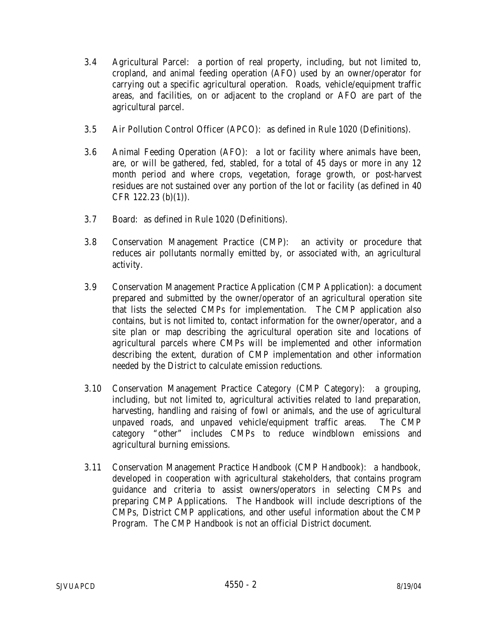- 3.4 Agricultural Parcel: a portion of real property, including, but not limited to, cropland, and animal feeding operation (AFO) used by an owner/operator for carrying out a specific agricultural operation. Roads, vehicle/equipment traffic areas, and facilities, on or adjacent to the cropland or AFO are part of the agricultural parcel.
- 3.5 Air Pollution Control Officer (APCO): as defined in Rule 1020 (Definitions).
- 3.6 Animal Feeding Operation (AFO): a lot or facility where animals have been, are, or will be gathered, fed, stabled, for a total of 45 days or more in any 12 month period and where crops, vegetation, forage growth, or post-harvest residues are not sustained over any portion of the lot or facility (as defined in 40 CFR 122.23 (b)(1)).
- 3.7 Board: as defined in Rule 1020 (Definitions).
- 3.8 Conservation Management Practice (CMP): an activity or procedure that reduces air pollutants normally emitted by, or associated with, an agricultural activity.
- 3.9 Conservation Management Practice Application (CMP Application): a document prepared and submitted by the owner/operator of an agricultural operation site that lists the selected CMPs for implementation. The CMP application also contains, but is not limited to, contact information for the owner/operator, and a site plan or map describing the agricultural operation site and locations of agricultural parcels where CMPs will be implemented and other information describing the extent, duration of CMP implementation and other information needed by the District to calculate emission reductions.
- 3.10 Conservation Management Practice Category (CMP Category): a grouping, including, but not limited to, agricultural activities related to land preparation, harvesting, handling and raising of fowl or animals, and the use of agricultural unpaved roads, and unpaved vehicle/equipment traffic areas. The CMP category "other" includes CMPs to reduce windblown emissions and agricultural burning emissions.
- 3.11 Conservation Management Practice Handbook (CMP Handbook): a handbook, developed in cooperation with agricultural stakeholders, that contains program guidance and criteria to assist owners/operators in selecting CMPs and preparing CMP Applications. The Handbook will include descriptions of the CMPs, District CMP applications, and other useful information about the CMP Program. The CMP Handbook is not an official District document.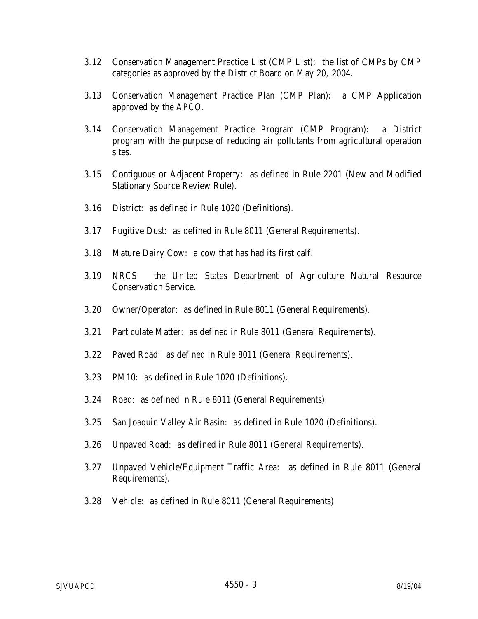- 3.12 Conservation Management Practice List (CMP List): the list of CMPs by CMP categories as approved by the District Board on May 20, 2004.
- 3.13 Conservation Management Practice Plan (CMP Plan): a CMP Application approved by the APCO.
- 3.14 Conservation Management Practice Program (CMP Program): a District program with the purpose of reducing air pollutants from agricultural operation sites.
- 3.15 Contiguous or Adjacent Property: as defined in Rule 2201 (New and Modified Stationary Source Review Rule).
- 3.16 District: as defined in Rule 1020 (Definitions).
- 3.17 Fugitive Dust: as defined in Rule 8011 (General Requirements).
- 3.18 Mature Dairy Cow: a cow that has had its first calf.
- 3.19 NRCS: the United States Department of Agriculture Natural Resource Conservation Service.
- 3.20 Owner/Operator: as defined in Rule 8011 (General Requirements).
- 3.21 Particulate Matter: as defined in Rule 8011 (General Requirements).
- 3.22 Paved Road: as defined in Rule 8011 (General Requirements).
- 3.23 PM10: as defined in Rule 1020 (Definitions).
- 3.24 Road: as defined in Rule 8011 (General Requirements).
- 3.25 San Joaquin Valley Air Basin: as defined in Rule 1020 (Definitions).
- 3.26 Unpaved Road: as defined in Rule 8011 (General Requirements).
- 3.27 Unpaved Vehicle/Equipment Traffic Area: as defined in Rule 8011 (General Requirements).
- 3.28 Vehicle: as defined in Rule 8011 (General Requirements).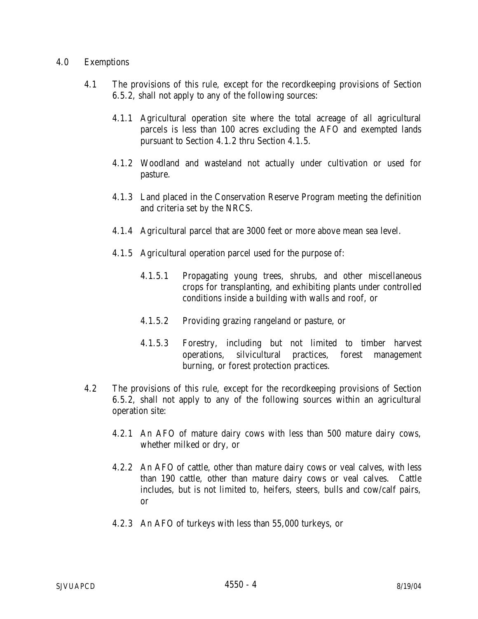## 4.0 Exemptions

- 4.1 The provisions of this rule, except for the recordkeeping provisions of Section 6.5.2, shall not apply to any of the following sources:
	- 4.1.1 Agricultural operation site where the total acreage of all agricultural parcels is less than 100 acres excluding the AFO and exempted lands pursuant to Section 4.1.2 thru Section 4.1.5.
	- 4.1.2 Woodland and wasteland not actually under cultivation or used for pasture.
	- 4.1.3 Land placed in the Conservation Reserve Program meeting the definition and criteria set by the NRCS.
	- 4.1.4 Agricultural parcel that are 3000 feet or more above mean sea level.
	- 4.1.5 Agricultural operation parcel used for the purpose of:
		- 4.1.5.1 Propagating young trees, shrubs, and other miscellaneous crops for transplanting, and exhibiting plants under controlled conditions inside a building with walls and roof, or
		- 4.1.5.2 Providing grazing rangeland or pasture, or
		- 4.1.5.3 Forestry, including but not limited to timber harvest operations, silvicultural practices, forest management burning, or forest protection practices.
- 4.2 The provisions of this rule, except for the recordkeeping provisions of Section 6.5.2, shall not apply to any of the following sources within an agricultural operation site:
	- 4.2.1 An AFO of mature dairy cows with less than 500 mature dairy cows, whether milked or dry, or
	- 4.2.2 An AFO of cattle, other than mature dairy cows or veal calves, with less than 190 cattle, other than mature dairy cows or veal calves. Cattle includes, but is not limited to, heifers, steers, bulls and cow/calf pairs, or
	- 4.2.3 An AFO of turkeys with less than 55,000 turkeys, or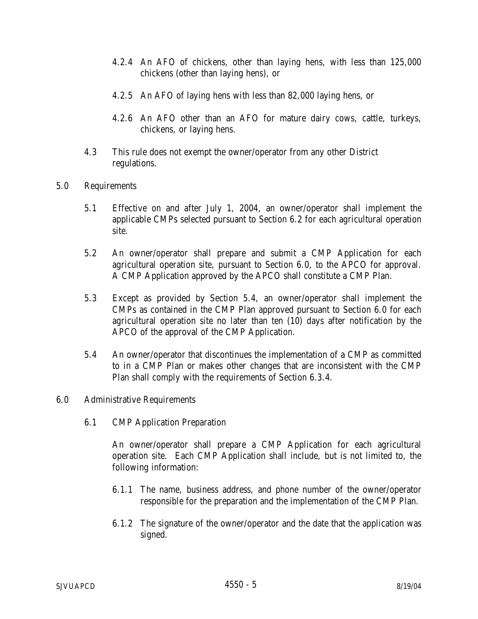- 4.2.4 An AFO of chickens, other than laying hens, with less than 125,000 chickens (other than laying hens), or
- 4.2.5 An AFO of laying hens with less than 82,000 laying hens, or
- 4.2.6 An AFO other than an AFO for mature dairy cows, cattle, turkeys, chickens, or laying hens.
- 4.3 This rule does not exempt the owner/operator from any other District regulations.
- 5.0 Requirements
	- 5.1 Effective on and after July 1, 2004, an owner/operator shall implement the applicable CMPs selected pursuant to Section 6.2 for each agricultural operation site.
	- 5.2 An owner/operator shall prepare and submit a CMP Application for each agricultural operation site, pursuant to Section 6.0, to the APCO for approval. A CMP Application approved by the APCO shall constitute a CMP Plan.
	- 5.3 Except as provided by Section 5.4, an owner/operator shall implement the CMPs as contained in the CMP Plan approved pursuant to Section 6.0 for each agricultural operation site no later than ten (10) days after notification by the APCO of the approval of the CMP Application.
	- 5.4 An owner/operator that discontinues the implementation of a CMP as committed to in a CMP Plan or makes other changes that are inconsistent with the CMP Plan shall comply with the requirements of Section 6.3.4.
- 6.0 Administrative Requirements
	- 6.1 CMP Application Preparation

An owner/operator shall prepare a CMP Application for each agricultural operation site. Each CMP Application shall include, but is not limited to, the following information:

- 6.1.1 The name, business address, and phone number of the owner/operator responsible for the preparation and the implementation of the CMP Plan.
- 6.1.2 The signature of the owner/operator and the date that the application was signed.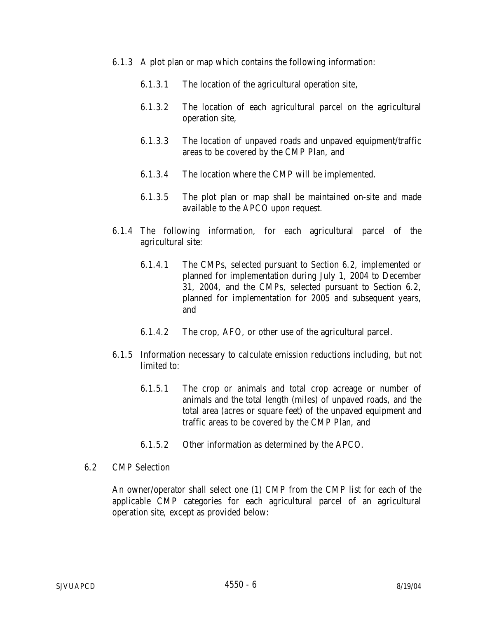- 6.1.3 A plot plan or map which contains the following information:
	- 6.1.3.1 The location of the agricultural operation site,
	- 6.1.3.2 The location of each agricultural parcel on the agricultural operation site,
	- 6.1.3.3 The location of unpaved roads and unpaved equipment/traffic areas to be covered by the CMP Plan, and
	- 6.1.3.4 The location where the CMP will be implemented.
	- 6.1.3.5 The plot plan or map shall be maintained on-site and made available to the APCO upon request.
- 6.1.4 The following information, for each agricultural parcel of the agricultural site:
	- 6.1.4.1 The CMPs, selected pursuant to Section 6.2, implemented or planned for implementation during July 1, 2004 to December 31, 2004, and the CMPs, selected pursuant to Section 6.2, planned for implementation for 2005 and subsequent years, and
	- 6.1.4.2 The crop, AFO, or other use of the agricultural parcel.
- 6.1.5 Information necessary to calculate emission reductions including, but not limited to:
	- 6.1.5.1 The crop or animals and total crop acreage or number of animals and the total length (miles) of unpaved roads, and the total area (acres or square feet) of the unpaved equipment and traffic areas to be covered by the CMP Plan, and
	- 6.1.5.2 Other information as determined by the APCO.
- 6.2 CMP Selection

An owner/operator shall select one (1) CMP from the CMP list for each of the applicable CMP categories for each agricultural parcel of an agricultural operation site, except as provided below: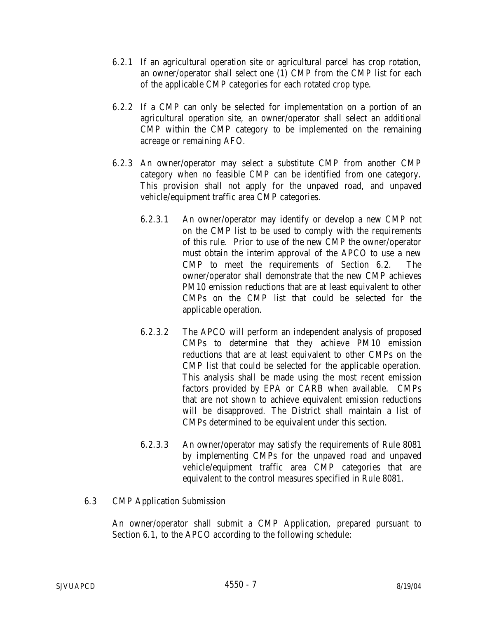- 6.2.1 If an agricultural operation site or agricultural parcel has crop rotation, an owner/operator shall select one (1) CMP from the CMP list for each of the applicable CMP categories for each rotated crop type.
- 6.2.2 If a CMP can only be selected for implementation on a portion of an agricultural operation site, an owner/operator shall select an additional CMP within the CMP category to be implemented on the remaining acreage or remaining AFO.
- 6.2.3 An owner/operator may select a substitute CMP from another CMP category when no feasible CMP can be identified from one category. This provision shall not apply for the unpaved road, and unpaved vehicle/equipment traffic area CMP categories.
	- 6.2.3.1 An owner/operator may identify or develop a new CMP not on the CMP list to be used to comply with the requirements of this rule. Prior to use of the new CMP the owner/operator must obtain the interim approval of the APCO to use a new CMP to meet the requirements of Section 6.2. The owner/operator shall demonstrate that the new CMP achieves PM10 emission reductions that are at least equivalent to other CMPs on the CMP list that could be selected for the applicable operation.
	- 6.2.3.2 The APCO will perform an independent analysis of proposed CMPs to determine that they achieve PM10 emission reductions that are at least equivalent to other CMPs on the CMP list that could be selected for the applicable operation. This analysis shall be made using the most recent emission factors provided by EPA or CARB when available. CMPs that are not shown to achieve equivalent emission reductions will be disapproved. The District shall maintain a list of CMPs determined to be equivalent under this section.
	- 6.2.3.3 An owner/operator may satisfy the requirements of Rule 8081 by implementing CMPs for the unpaved road and unpaved vehicle/equipment traffic area CMP categories that are equivalent to the control measures specified in Rule 8081.
- 6.3 CMP Application Submission

An owner/operator shall submit a CMP Application, prepared pursuant to Section 6.1, to the APCO according to the following schedule: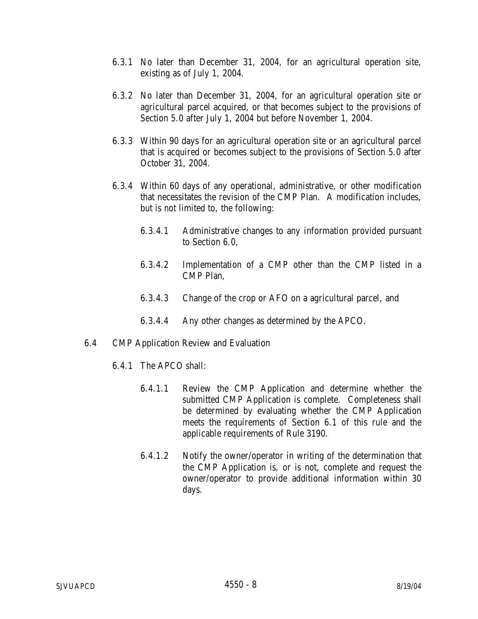- 6.3.1 No later than December 31, 2004, for an agricultural operation site, existing as of July 1, 2004.
- 6.3.2 No later than December 31, 2004, for an agricultural operation site or agricultural parcel acquired, or that becomes subject to the provisions of Section 5.0 after July 1, 2004 but before November 1, 2004.
- 6.3.3 Within 90 days for an agricultural operation site or an agricultural parcel that is acquired or becomes subject to the provisions of Section 5.0 after October 31, 2004.
- 6.3.4 Within 60 days of any operational, administrative, or other modification that necessitates the revision of the CMP Plan. A modification includes, but is not limited to, the following:
	- 6.3.4.1 Administrative changes to any information provided pursuant to Section 6.0,
	- 6.3.4.2 Implementation of a CMP other than the CMP listed in a CMP Plan,
	- 6.3.4.3 Change of the crop or AFO on a agricultural parcel, and
	- 6.3.4.4 Any other changes as determined by the APCO.
- 6.4 CMP Application Review and Evaluation
	- 6.4.1 The APCO shall:
		- 6.4.1.1 Review the CMP Application and determine whether the submitted CMP Application is complete. Completeness shall be determined by evaluating whether the CMP Application meets the requirements of Section 6.1 of this rule and the applicable requirements of Rule 3190.
		- 6.4.1.2 Notify the owner/operator in writing of the determination that the CMP Application is, or is not, complete and request the owner/operator to provide additional information within 30 days.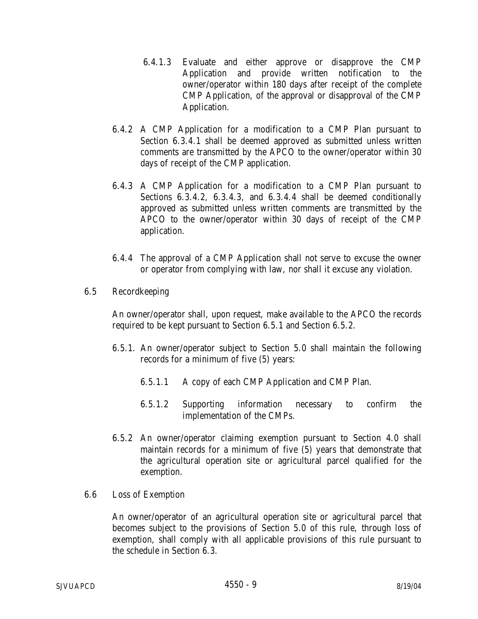- 6.4.1.3 Evaluate and either approve or disapprove the CMP Application and provide written notification to the owner/operator within 180 days after receipt of the complete CMP Application, of the approval or disapproval of the CMP Application.
- 6.4.2 A CMP Application for a modification to a CMP Plan pursuant to Section 6.3.4.1 shall be deemed approved as submitted unless written comments are transmitted by the APCO to the owner/operator within 30 days of receipt of the CMP application.
- 6.4.3 A CMP Application for a modification to a CMP Plan pursuant to Sections 6.3.4.2, 6.3.4.3, and 6.3.4.4 shall be deemed conditionally approved as submitted unless written comments are transmitted by the APCO to the owner/operator within 30 days of receipt of the CMP application.
- 6.4.4 The approval of a CMP Application shall not serve to excuse the owner or operator from complying with law, nor shall it excuse any violation.
- 6.5 Recordkeeping

An owner/operator shall, upon request, make available to the APCO the records required to be kept pursuant to Section 6.5.1 and Section 6.5.2.

- 6.5.1. An owner/operator subject to Section 5.0 shall maintain the following records for a minimum of five (5) years:
	- 6.5.1.1 A copy of each CMP Application and CMP Plan.
	- 6.5.1.2 Supporting information necessary to confirm the implementation of the CMPs.
- 6.5.2 An owner/operator claiming exemption pursuant to Section 4.0 shall maintain records for a minimum of five (5) years that demonstrate that the agricultural operation site or agricultural parcel qualified for the exemption.
- 6.6 Loss of Exemption

An owner/operator of an agricultural operation site or agricultural parcel that becomes subject to the provisions of Section 5.0 of this rule, through loss of exemption, shall comply with all applicable provisions of this rule pursuant to the schedule in Section 6.3.